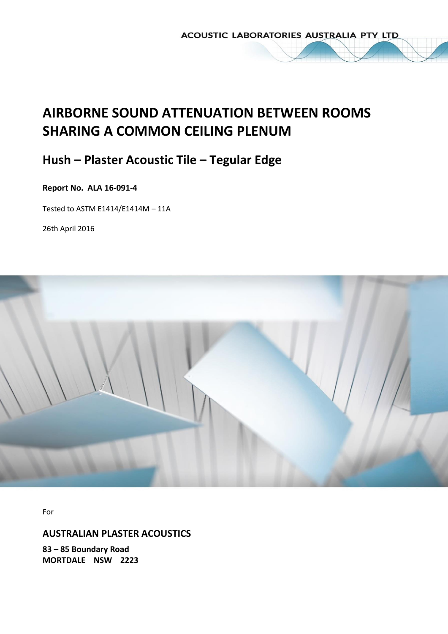ACOUSTIC LABORATORIES AUSTRALIA PTY LTD

# **AIRBORNE SOUND ATTENUATION BETWEEN ROOMS SHARING A COMMON CEILING PLENUM**

# **Hush – Plaster Acoustic Tile – Tegular Edge**

# **Report No. ALA 16-091-4**

Tested to ASTM E1414/E1414M – 11A

26th April 2016



For

# **AUSTRALIAN PLASTER ACOUSTICS**

**83 – 85 Boundary Road MORTDALE NSW 2223**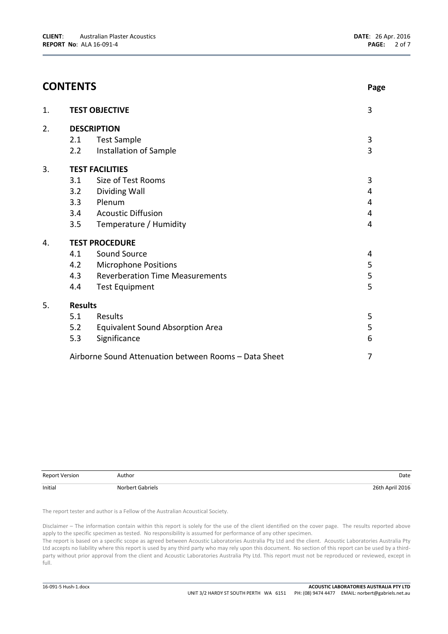|    | <b>CONTENTS</b>    |                                                       | Page                    |  |  |  |
|----|--------------------|-------------------------------------------------------|-------------------------|--|--|--|
| 1. |                    | <b>TEST OBJECTIVE</b>                                 | 3                       |  |  |  |
| 2. | <b>DESCRIPTION</b> |                                                       |                         |  |  |  |
|    | 2.1                | <b>Test Sample</b>                                    | $\mathbf{3}$            |  |  |  |
|    | 2.2                | Installation of Sample                                | 3                       |  |  |  |
| 3. |                    | <b>TEST FACILITIES</b>                                |                         |  |  |  |
|    | 3.1                | Size of Test Rooms                                    | 3                       |  |  |  |
|    | 3.2                | Dividing Wall                                         | 4                       |  |  |  |
|    | 3.3                | Plenum                                                | 4                       |  |  |  |
|    | 3.4                | <b>Acoustic Diffusion</b>                             | $\overline{\mathbf{4}}$ |  |  |  |
|    | 3.5                | Temperature / Humidity                                | 4                       |  |  |  |
| 4. |                    | <b>TEST PROCEDURE</b>                                 |                         |  |  |  |
|    | 4.1                | Sound Source                                          | 4                       |  |  |  |
|    | 4.2                | <b>Microphone Positions</b>                           | 5                       |  |  |  |
|    | 4.3                | <b>Reverberation Time Measurements</b>                | 5                       |  |  |  |
|    | 4.4                | <b>Test Equipment</b>                                 | 5                       |  |  |  |
| 5. | <b>Results</b>     |                                                       |                         |  |  |  |
|    | 5.1                | Results                                               | 5                       |  |  |  |
|    | 5.2                | Equivalent Sound Absorption Area                      | 5                       |  |  |  |
|    | 5.3                | Significance                                          | 6                       |  |  |  |
|    |                    | Airborne Sound Attenuation between Rooms - Data Sheet | 7                       |  |  |  |

| <b>Report Version</b> | Author           | Date            |
|-----------------------|------------------|-----------------|
| Initial               | Norbert Gabriels | 26th April 2016 |

The report tester and author is a Fellow of the Australian Acoustical Society.

Disclaimer – The information contain within this report is solely for the use of the client identified on the cover page. The results reported above apply to the specific specimen as tested. No responsibility is assumed for performance of any other specimen.

The report is based on a specific scope as agreed between Acoustic Laboratories Australia Pty Ltd and the client. Acoustic Laboratories Australia Pty Ltd accepts no liability where this report is used by any third party who may rely upon this document. No section of this report can be used by a thirdparty without prior approval from the client and Acoustic Laboratories Australia Pty Ltd. This report must not be reproduced or reviewed, except in full.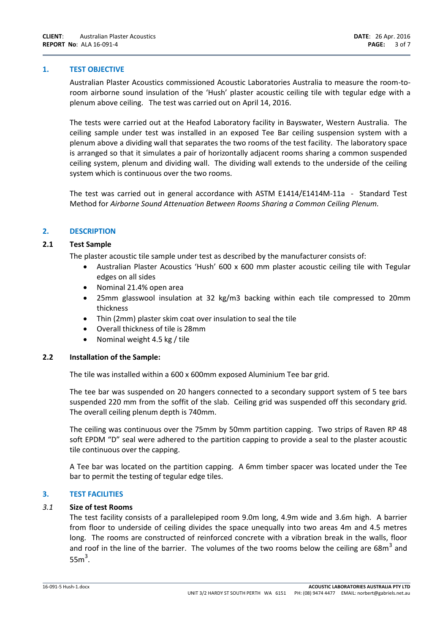#### **1. TEST OBJECTIVE**

Australian Plaster Acoustics commissioned Acoustic Laboratories Australia to measure the room-toroom airborne sound insulation of the 'Hush' plaster acoustic ceiling tile with tegular edge with a plenum above ceiling. The test was carried out on April 14, 2016.

The tests were carried out at the Heafod Laboratory facility in Bayswater, Western Australia. The ceiling sample under test was installed in an exposed Tee Bar ceiling suspension system with a plenum above a dividing wall that separates the two rooms of the test facility. The laboratory space is arranged so that it simulates a pair of horizontally adjacent rooms sharing a common suspended ceiling system, plenum and dividing wall. The dividing wall extends to the underside of the ceiling system which is continuous over the two rooms.

The test was carried out in general accordance with ASTM E1414/E1414M-11a - Standard Test Method for *Airborne Sound Attenuation Between Rooms Sharing a Common Ceiling Plenum.* 

## **2. DESCRIPTION**

## **2.1 Test Sample**

The plaster acoustic tile sample under test as described by the manufacturer consists of:

- Australian Plaster Acoustics 'Hush' 600 x 600 mm plaster acoustic ceiling tile with Tegular edges on all sides
- Nominal 21.4% open area
- 25mm glasswool insulation at 32 kg/m3 backing within each tile compressed to 20mm thickness
- Thin (2mm) plaster skim coat over insulation to seal the tile
- Overall thickness of tile is 28mm
- Nominal weight 4.5 kg / tile

#### **2.2 Installation of the Sample:**

The tile was installed within a 600 x 600mm exposed Aluminium Tee bar grid.

The tee bar was suspended on 20 hangers connected to a secondary support system of 5 tee bars suspended 220 mm from the soffit of the slab. Ceiling grid was suspended off this secondary grid. The overall ceiling plenum depth is 740mm.

The ceiling was continuous over the 75mm by 50mm partition capping. Two strips of Raven RP 48 soft EPDM "D" seal were adhered to the partition capping to provide a seal to the plaster acoustic tile continuous over the capping.

A Tee bar was located on the partition capping. A 6mm timber spacer was located under the Tee bar to permit the testing of tegular edge tiles.

# **3. TEST FACILITIES**

#### *3.1* **Size of test Rooms**

The test facility consists of a parallelepiped room 9.0m long, 4.9m wide and 3.6m high. A barrier from floor to underside of ceiling divides the space unequally into two areas 4m and 4.5 metres long. The rooms are constructed of reinforced concrete with a vibration break in the walls, floor and roof in the line of the barrier. The volumes of the two rooms below the ceiling are 68 $m^3$  and  $55m<sup>3</sup>$ .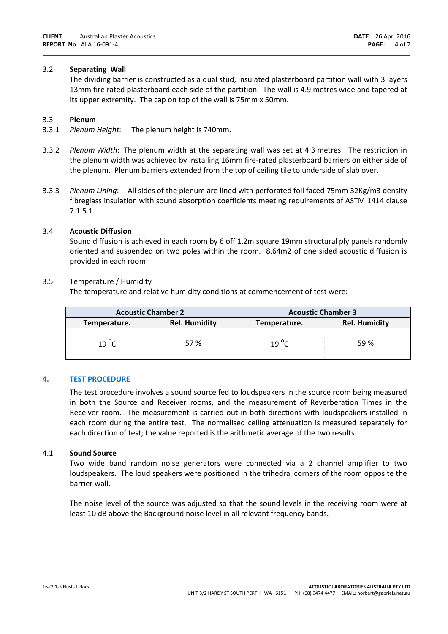# 3.2 **Separating Wall**

The dividing barrier is constructed as a dual stud, insulated plasterboard partition wall with 3 layers 13mm fire rated plasterboard each side of the partition. The wall is 4.9 metres wide and tapered at its upper extremity. The cap on top of the wall is 75mm x 50mm.

#### 3.3 **Plenum**

- 3.3.1 *Plenum Height*: The plenum height is 740mm.
- 3.3.2 *Plenum Width*: The plenum width at the separating wall was set at 4.3 metres. The restriction in the plenum width was achieved by installing 16mm fire-rated plasterboard barriers on either side of the plenum. Plenum barriers extended from the top of ceiling tile to underside of slab over.
- 3.3.3 *Plenum Lining*: All sides of the plenum are lined with perforated foil faced 75mm 32Kg/m3 density fibreglass insulation with sound absorption coefficients meeting requirements of ASTM 1414 clause 7.1.5.1

## 3.4 **Acoustic Diffusion**

Sound diffusion is achieved in each room by 6 off 1.2m square 19mm structural ply panels randomly oriented and suspended on two poles within the room. 8.64m2 of one sided acoustic diffusion is provided in each room.

#### 3.5 Temperature / Humidity

The temperature and relative humidity conditions at commencement of test were:

| <b>Acoustic Chamber 2</b>            |     | <b>Acoustic Chamber 3</b> |                      |  |
|--------------------------------------|-----|---------------------------|----------------------|--|
| <b>Rel. Humidity</b><br>Temperature. |     | Temperature.              | <b>Rel. Humidity</b> |  |
| $19^{\circ}$ C                       | 57% | $19^{\circ}$ C            | 59%                  |  |

#### **4. TEST PROCEDURE**

The test procedure involves a sound source fed to loudspeakers in the source room being measured in both the Source and Receiver rooms, and the measurement of Reverberation Times in the Receiver room. The measurement is carried out in both directions with loudspeakers installed in each room during the entire test. The normalised ceiling attenuation is measured separately for each direction of test; the value reported is the arithmetic average of the two results.

#### 4.1 **Sound Source**

Two wide band random noise generators were connected via a 2 channel amplifier to two loudspeakers. The loud speakers were positioned in the trihedral corners of the room opposite the barrier wall.

The noise level of the source was adjusted so that the sound levels in the receiving room were at least 10 dB above the Background noise level in all relevant frequency bands.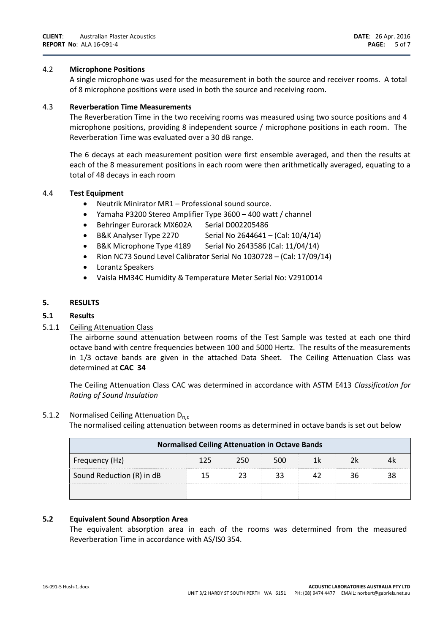# 4.2 **Microphone Positions**

A single microphone was used for the measurement in both the source and receiver rooms. A total of 8 microphone positions were used in both the source and receiving room.

# 4.3 **Reverberation Time Measurements**

The Reverberation Time in the two receiving rooms was measured using two source positions and 4 microphone positions, providing 8 independent source / microphone positions in each room. The Reverberation Time was evaluated over a 30 dB range.

The 6 decays at each measurement position were first ensemble averaged, and then the results at each of the 8 measurement positions in each room were then arithmetically averaged, equating to a total of 48 decays in each room

# 4.4 **Test Equipment**

- Neutrik Minirator MR1 Professional sound source.
- Yamaha P3200 Stereo Amplifier Type 3600 400 watt / channel
- Behringer Eurorack MX602A Serial D002205486
- B&K Analyser Type 2270 Serial No  $2644641 (Cal: 10/4/14)$
- $\bullet$  B&K Microphone Type 4189 Serial No 2643586 (Cal: 11/04/14)
- Rion NC73 Sound Level Calibrator Serial No 1030728 (Cal: 17/09/14)
- Lorantz Speakers
- Vaisla HM34C Humidity & Temperature Meter Serial No: V2910014

# **5. RESULTS**

# **5.1 Results**

# 5.1.1 Ceiling Attenuation Class

The airborne sound attenuation between rooms of the Test Sample was tested at each one third octave band with centre frequencies between 100 and 5000 Hertz. The results of the measurements in 1/3 octave bands are given in the attached Data Sheet. The Ceiling Attenuation Class was determined at **CAC 34**

The Ceiling Attenuation Class CAC was determined in accordance with ASTM E413 *Classification for Rating of Sound Insulation*

#### 5.1.2 Normalised Ceiling Attenuation  $D_{n,c}$

The normalised ceiling attenuation between rooms as determined in octave bands is set out below

| <b>Normalised Ceiling Attenuation in Octave Bands</b> |     |     |     |     |    |    |
|-------------------------------------------------------|-----|-----|-----|-----|----|----|
| Frequency (Hz)                                        | 125 | 250 | 500 | 1 k | 7k |    |
| Sound Reduction (R) in dB                             | 15  |     | 33  |     | 36 | 38 |
|                                                       |     |     |     |     |    |    |

# **5.2 Equivalent Sound Absorption Area**

The equivalent absorption area in each of the rooms was determined from the measured Reverberation Time in accordance with AS/IS0 354.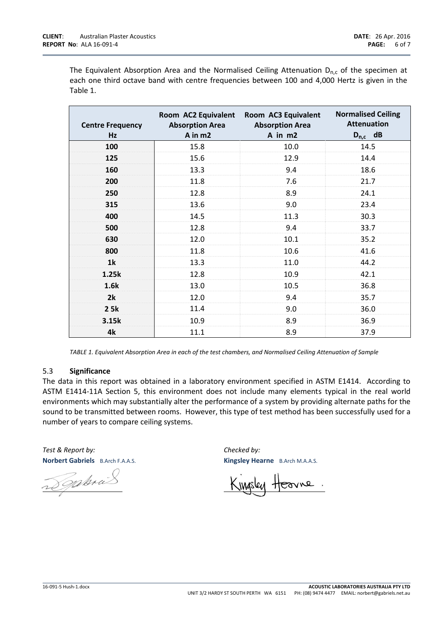The Equivalent Absorption Area and the Normalised Ceiling Attenuation  $D_{n,c}$  of the specimen at each one third octave band with centre frequencies between 100 and 4,000 Hertz is given in the Table 1.

| <b>Centre Frequency</b><br>Hz | Room AC2 Equivalent<br><b>Absorption Area</b><br>A in m2 | Room AC3 Equivalent<br><b>Absorption Area</b><br>A in m2 | <b>Normalised Ceiling</b><br><b>Attenuation</b><br>$D_{n,c}$ dB |
|-------------------------------|----------------------------------------------------------|----------------------------------------------------------|-----------------------------------------------------------------|
| 100                           | 15.8                                                     | 10.0                                                     | 14.5                                                            |
| 125                           | 15.6                                                     | 12.9                                                     | 14.4                                                            |
| 160                           | 13.3                                                     | 9.4                                                      | 18.6                                                            |
| 200                           | 11.8                                                     | 7.6                                                      | 21.7                                                            |
| 250                           | 12.8                                                     | 8.9                                                      | 24.1                                                            |
| 315                           | 13.6                                                     | 9.0                                                      | 23.4                                                            |
| 400                           | 14.5                                                     | 11.3                                                     | 30.3                                                            |
| 500                           | 12.8                                                     | 9.4                                                      | 33.7                                                            |
| 630                           | 12.0                                                     | 10.1                                                     | 35.2                                                            |
| 800                           | 11.8                                                     | 10.6                                                     | 41.6                                                            |
| 1k                            | 13.3                                                     | 11.0                                                     | 44.2                                                            |
| 1.25k                         | 12.8                                                     | 10.9                                                     | 42.1                                                            |
| 1.6k                          | 13.0                                                     | 10.5                                                     | 36.8                                                            |
| 2k                            | 12.0                                                     | 9.4                                                      | 35.7                                                            |
| 2 5k                          | 11.4                                                     | 9.0                                                      | 36.0                                                            |
| 3.15k                         | 10.9                                                     | 8.9                                                      | 36.9                                                            |
| 4k                            | 11.1                                                     | 8.9                                                      | 37.9                                                            |

*TABLE 1. Equivalent Absorption Area in each of the test chambers, and Normalised Ceiling Attenuation of Sample*

#### 5.3 **Significance**

The data in this report was obtained in a laboratory environment specified in ASTM E1414. According to ASTM E1414-11A Section 5, this environment does not include many elements typical in the real world environments which may substantially alter the performance of a system by providing alternate paths for the sound to be transmitted between rooms. However, this type of test method has been successfully used for a number of years to compare ceiling systems.

*Test & Report by: Checked by:* **Norbert Gabriels** B.Arch F.A.A.S. **Kingsley Hearne** B.Arch M.A.A.S.

Dophra

Hearne.